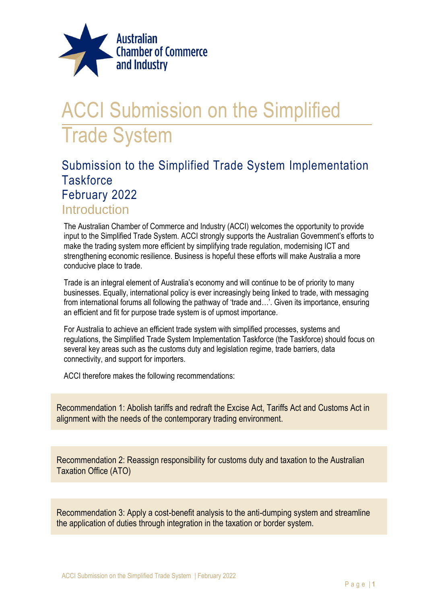

# ACCI Submission on the Simplified Trade System

# Submission to the Simplified Trade System Implementation **Taskforce** February 2022

# Introduction

The Australian Chamber of Commerce and Industry (ACCI) welcomes the opportunity to provide input to the Simplified Trade System. ACCI strongly supports the Australian Government's efforts to make the trading system more efficient by simplifying trade regulation, modernising ICT and strengthening economic resilience. Business is hopeful these efforts will make Australia a more conducive place to trade.

Trade is an integral element of Australia's economy and will continue to be of priority to many businesses. Equally, international policy is ever increasingly being linked to trade, with messaging from international forums all following the pathway of 'trade and…'. Given its importance, ensuring an efficient and fit for purpose trade system is of upmost importance.

For Australia to achieve an efficient trade system with simplified processes, systems and regulations, the Simplified Trade System Implementation Taskforce (the Taskforce) should focus on several key areas such as the customs duty and legislation regime, trade barriers, data connectivity, and support for importers.

ACCI therefore makes the following recommendations:

Recommendation 1: Abolish tariffs and redraft the Excise Act, Tariffs Act and Customs Act in alignment with the needs of the contemporary trading environment.

Recommendation 2: Reassign responsibility for customs duty and taxation to the Australian Taxation Office (ATO)

Recommendation 3: Apply a cost-benefit analysis to the anti-dumping system and streamline the application of duties through integration in the taxation or border system.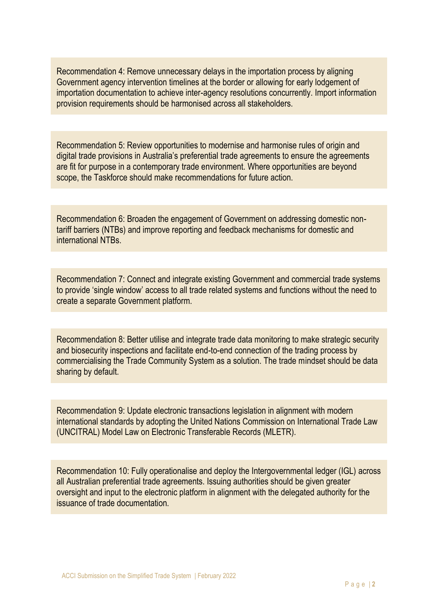Recommendation 4: Remove unnecessary delays in the importation process by aligning Government agency intervention timelines at the border or allowing for early lodgement of importation documentation to achieve inter-agency resolutions concurrently. Import information provision requirements should be harmonised across all stakeholders.

Recommendation 5: Review opportunities to modernise and harmonise rules of origin and digital trade provisions in Australia's preferential trade agreements to ensure the agreements are fit for purpose in a contemporary trade environment. Where opportunities are beyond scope, the Taskforce should make recommendations for future action.

Recommendation 6: Broaden the engagement of Government on addressing domestic nontariff barriers (NTBs) and improve reporting and feedback mechanisms for domestic and international NTBs.

Recommendation 7: Connect and integrate existing Government and commercial trade systems to provide 'single window' access to all trade related systems and functions without the need to create a separate Government platform.

Recommendation 8: Better utilise and integrate trade data monitoring to make strategic security and biosecurity inspections and facilitate end-to-end connection of the trading process by commercialising the Trade Community System as a solution. The trade mindset should be data sharing by default.

Recommendation 9: Update electronic transactions legislation in alignment with modern international standards by adopting the United Nations Commission on International Trade Law (UNCITRAL) Model Law on Electronic Transferable Records (MLETR).

Recommendation 10: Fully operationalise and deploy the Intergovernmental ledger (IGL) across all Australian preferential trade agreements. Issuing authorities should be given greater oversight and input to the electronic platform in alignment with the delegated authority for the issuance of trade documentation.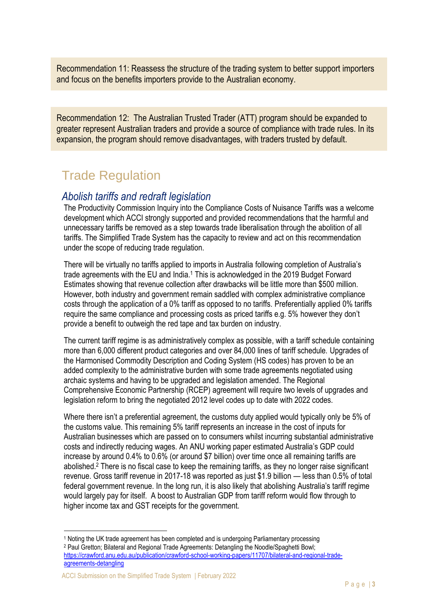Recommendation 11: Reassess the structure of the trading system to better support importers and focus on the benefits importers provide to the Australian economy.

Recommendation 12: The Australian Trusted Trader (ATT) program should be expanded to greater represent Australian traders and provide a source of compliance with trade rules. In its expansion, the program should remove disadvantages, with traders trusted by default.

# Trade Regulation

# *Abolish tariffs and redraft legislation*

The Productivity Commission Inquiry into the Compliance Costs of Nuisance Tariffs was a welcome development which ACCI strongly supported and provided recommendations that the harmful and unnecessary tariffs be removed as a step towards trade liberalisation through the abolition of all tariffs. The Simplified Trade System has the capacity to review and act on this recommendation under the scope of reducing trade regulation.

There will be virtually no tariffs applied to imports in Australia following completion of Australia's trade agreements with the EU and India.<sup>1</sup> This is acknowledged in the 2019 Budget Forward Estimates showing that revenue collection after drawbacks will be little more than \$500 million. However, both industry and government remain saddled with complex administrative compliance costs through the application of a 0% tariff as opposed to no tariffs. Preferentially applied 0% tariffs require the same compliance and processing costs as priced tariffs e.g. 5% however they don't provide a benefit to outweigh the red tape and tax burden on industry.

The current tariff regime is as administratively complex as possible, with a tariff schedule containing more than 6,000 different product categories and over 84,000 lines of tariff schedule. Upgrades of the Harmonised Commodity Description and Coding System (HS codes) has proven to be an added complexity to the administrative burden with some trade agreements negotiated using archaic systems and having to be upgraded and legislation amended. The Regional Comprehensive Economic Partnership (RCEP) agreement will require two levels of upgrades and legislation reform to bring the negotiated 2012 level codes up to date with 2022 codes.

Where there isn't a preferential agreement, the customs duty applied would typically only be 5% of the customs value. This remaining 5% tariff represents an increase in the cost of inputs for Australian businesses which are passed on to consumers whilst incurring substantial administrative costs and indirectly reducing wages. An ANU working paper estimated Australia's GDP could increase by around 0.4% to 0.6% (or around \$7 billion) over time once all remaining tariffs are abolished.<sup>2</sup> There is no fiscal case to keep the remaining tariffs, as they no longer raise significant revenue. Gross tariff revenue in 2017-18 was reported as just \$1.9 billion — less than 0.5% of total federal government revenue. In the long run, it is also likely that abolishing Australia's tariff regime would largely pay for itself. A boost to Australian GDP from tariff reform would flow through to higher income tax and GST receipts for the government.

<sup>1</sup> Noting the UK trade agreement has been completed and is undergoing Parliamentary processing

<sup>2</sup> Paul Gretton; Bilateral and Regional Trade Agreements: Detangling the Noodle/Spaghetti Bowl; [https://crawford.anu.edu.au/publication/crawford-school-working-papers/11707/bilateral-and-regional-trade](https://crawford.anu.edu.au/publication/crawford-school-working-papers/11707/bilateral-and-regional-trade-agreements-detangling)[agreements-detangling](https://crawford.anu.edu.au/publication/crawford-school-working-papers/11707/bilateral-and-regional-trade-agreements-detangling)

ACCI Submission on the Simplified Trade System | February 2022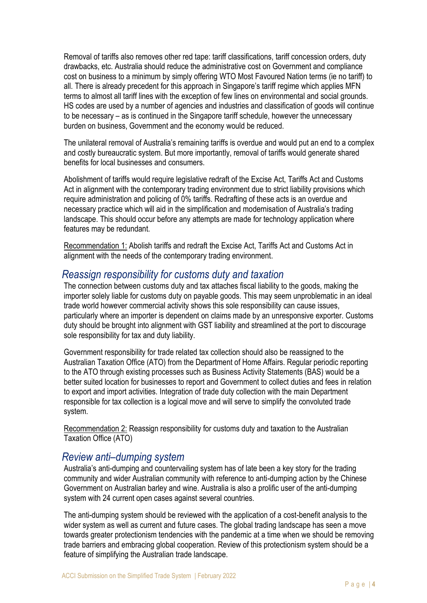Removal of tariffs also removes other red tape: tariff classifications, tariff concession orders, duty drawbacks, etc. Australia should reduce the administrative cost on Government and compliance cost on business to a minimum by simply offering WTO Most Favoured Nation terms (ie no tariff) to all. There is already precedent for this approach in Singapore's tariff regime which applies MFN terms to almost all tariff lines with the exception of few lines on environmental and social grounds. HS codes are used by a number of agencies and industries and classification of goods will continue to be necessary – as is continued in the Singapore tariff schedule, however the unnecessary burden on business, Government and the economy would be reduced.

The unilateral removal of Australia's remaining tariffs is overdue and would put an end to a complex and costly bureaucratic system. But more importantly, removal of tariffs would generate shared benefits for local businesses and consumers.

Abolishment of tariffs would require legislative redraft of the Excise Act, Tariffs Act and Customs Act in alignment with the contemporary trading environment due to strict liability provisions which require administration and policing of 0% tariffs. Redrafting of these acts is an overdue and necessary practice which will aid in the simplification and modernisation of Australia's trading landscape. This should occur before any attempts are made for technology application where features may be redundant.

Recommendation 1: Abolish tariffs and redraft the Excise Act, Tariffs Act and Customs Act in alignment with the needs of the contemporary trading environment.

### *Reassign responsibility for customs duty and taxation*

The connection between customs duty and tax attaches fiscal liability to the goods, making the importer solely liable for customs duty on payable goods. This may seem unproblematic in an ideal trade world however commercial activity shows this sole responsibility can cause issues, particularly where an importer is dependent on claims made by an unresponsive exporter. Customs duty should be brought into alignment with GST liability and streamlined at the port to discourage sole responsibility for tax and duty liability.

Government responsibility for trade related tax collection should also be reassigned to the Australian Taxation Office (ATO) from the Department of Home Affairs. Regular periodic reporting to the ATO through existing processes such as Business Activity Statements (BAS) would be a better suited location for businesses to report and Government to collect duties and fees in relation to export and import activities. Integration of trade duty collection with the main Department responsible for tax collection is a logical move and will serve to simplify the convoluted trade system.

Recommendation 2: Reassign responsibility for customs duty and taxation to the Australian Taxation Office (ATO)

### *Review anti–dumping system*

Australia's anti-dumping and countervailing system has of late been a key story for the trading community and wider Australian community with reference to anti-dumping action by the Chinese Government on Australian barley and wine. Australia is also a prolific user of the anti-dumping system with 24 current open cases against several countries.

The anti-dumping system should be reviewed with the application of a cost-benefit analysis to the wider system as well as current and future cases. The global trading landscape has seen a move towards greater protectionism tendencies with the pandemic at a time when we should be removing trade barriers and embracing global cooperation. Review of this protectionism system should be a feature of simplifying the Australian trade landscape.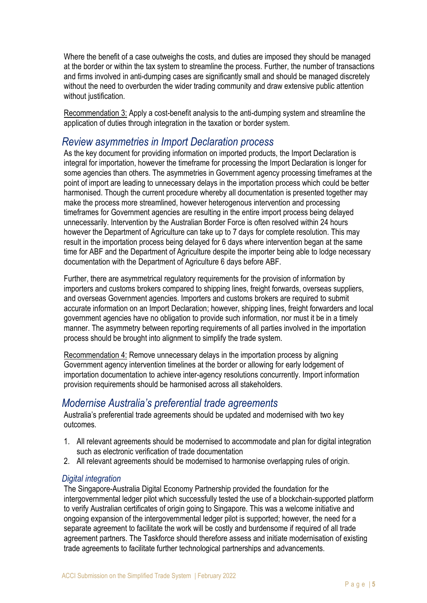Where the benefit of a case outweighs the costs, and duties are imposed they should be managed at the border or within the tax system to streamline the process. Further, the number of transactions and firms involved in anti-dumping cases are significantly small and should be managed discretely without the need to overburden the wider trading community and draw extensive public attention without justification.

Recommendation 3: Apply a cost-benefit analysis to the anti-dumping system and streamline the application of duties through integration in the taxation or border system.

### *Review asymmetries in Import Declaration process*

As the key document for providing information on imported products, the Import Declaration is integral for importation, however the timeframe for processing the Import Declaration is longer for some agencies than others. The asymmetries in Government agency processing timeframes at the point of import are leading to unnecessary delays in the importation process which could be better harmonised. Though the current procedure whereby all documentation is presented together may make the process more streamlined, however heterogenous intervention and processing timeframes for Government agencies are resulting in the entire import process being delayed unnecessarily. Intervention by the Australian Border Force is often resolved within 24 hours however the Department of Agriculture can take up to 7 days for complete resolution. This may result in the importation process being delayed for 6 days where intervention began at the same time for ABF and the Department of Agriculture despite the importer being able to lodge necessary documentation with the Department of Agriculture 6 days before ABF.

Further, there are asymmetrical regulatory requirements for the provision of information by importers and customs brokers compared to shipping lines, freight forwards, overseas suppliers, and overseas Government agencies. Importers and customs brokers are required to submit accurate information on an Import Declaration; however, shipping lines, freight forwarders and local government agencies have no obligation to provide such information, nor must it be in a timely manner. The asymmetry between reporting requirements of all parties involved in the importation process should be brought into alignment to simplify the trade system.

Recommendation 4: Remove unnecessary delays in the importation process by aligning Government agency intervention timelines at the border or allowing for early lodgement of importation documentation to achieve inter-agency resolutions concurrently. Import information provision requirements should be harmonised across all stakeholders.

# *Modernise Australia's preferential trade agreements*

Australia's preferential trade agreements should be updated and modernised with two key outcomes.

- 1. All relevant agreements should be modernised to accommodate and plan for digital integration such as electronic verification of trade documentation
- 2. All relevant agreements should be modernised to harmonise overlapping rules of origin.

#### *Digital integration*

The Singapore-Australia Digital Economy Partnership provided the foundation for the intergovernmental ledger pilot which successfully tested the use of a blockchain-supported platform to verify Australian certificates of origin going to Singapore. This was a welcome initiative and ongoing expansion of the intergovernmental ledger pilot is supported; however, the need for a separate agreement to facilitate the work will be costly and burdensome if required of all trade agreement partners. The Taskforce should therefore assess and initiate modernisation of existing trade agreements to facilitate further technological partnerships and advancements.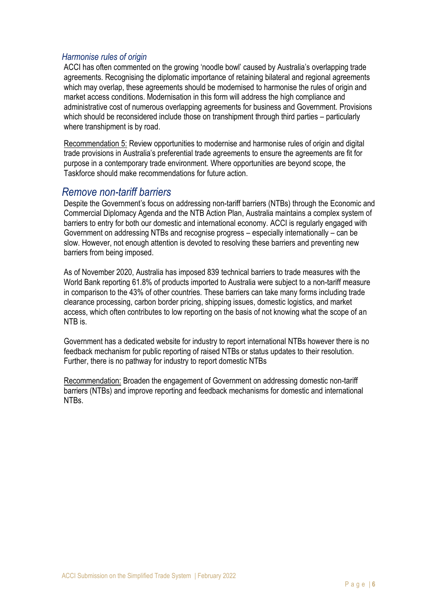#### *Harmonise rules of origin*

ACCI has often commented on the growing 'noodle bowl' caused by Australia's overlapping trade agreements. Recognising the diplomatic importance of retaining bilateral and regional agreements which may overlap, these agreements should be modernised to harmonise the rules of origin and market access conditions. Modernisation in this form will address the high compliance and administrative cost of numerous overlapping agreements for business and Government. Provisions which should be reconsidered include those on transhipment through third parties – particularly where transhipment is by road.

Recommendation 5: Review opportunities to modernise and harmonise rules of origin and digital trade provisions in Australia's preferential trade agreements to ensure the agreements are fit for purpose in a contemporary trade environment. Where opportunities are beyond scope, the Taskforce should make recommendations for future action.

### *Remove non-tariff barriers*

Despite the Government's focus on addressing non-tariff barriers (NTBs) through the Economic and Commercial Diplomacy Agenda and the NTB Action Plan, Australia maintains a complex system of barriers to entry for both our domestic and international economy. ACCI is regularly engaged with Government on addressing NTBs and recognise progress – especially internationally – can be slow. However, not enough attention is devoted to resolving these barriers and preventing new barriers from being imposed.

As of November 2020, Australia has imposed 839 technical barriers to trade measures with the World Bank reporting 61.8% of products imported to Australia were subject to a non-tariff measure in comparison to the 43% of other countries. These barriers can take many forms including trade clearance processing, carbon border pricing, shipping issues, domestic logistics, and market access, which often contributes to low reporting on the basis of not knowing what the scope of an NTB is.

Government has a dedicated website for industry to report international NTBs however there is no feedback mechanism for public reporting of raised NTBs or status updates to their resolution. Further, there is no pathway for industry to report domestic NTBs

Recommendation: Broaden the engagement of Government on addressing domestic non-tariff barriers (NTBs) and improve reporting and feedback mechanisms for domestic and international NTBs.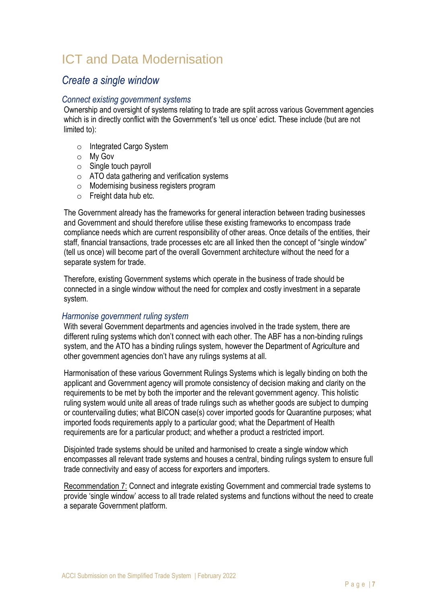# ICT and Data Modernisation

### *Create a single window*

#### *Connect existing government systems*

Ownership and oversight of systems relating to trade are split across various Government agencies which is in directly conflict with the Government's 'tell us once' edict. These include (but are not limited to):

- o Integrated Cargo System
- o My Gov
- $\circ$  Single touch payroll
- o ATO data gathering and verification systems
- o Modernising business registers program
- o Freight data hub etc.

The Government already has the frameworks for general interaction between trading businesses and Government and should therefore utilise these existing frameworks to encompass trade compliance needs which are current responsibility of other areas. Once details of the entities, their staff, financial transactions, trade processes etc are all linked then the concept of "single window" (tell us once) will become part of the overall Government architecture without the need for a separate system for trade.

Therefore, existing Government systems which operate in the business of trade should be connected in a single window without the need for complex and costly investment in a separate system.

#### *Harmonise government ruling system*

With several Government departments and agencies involved in the trade system, there are different ruling systems which don't connect with each other. The ABF has a non-binding rulings system, and the ATO has a binding rulings system, however the Department of Agriculture and other government agencies don't have any rulings systems at all.

Harmonisation of these various Government Rulings Systems which is legally binding on both the applicant and Government agency will promote consistency of decision making and clarity on the requirements to be met by both the importer and the relevant government agency. This holistic ruling system would unite all areas of trade rulings such as whether goods are subject to dumping or countervailing duties; what BICON case(s) cover imported goods for Quarantine purposes; what imported foods requirements apply to a particular good; what the Department of Health requirements are for a particular product; and whether a product a restricted import.

Disjointed trade systems should be united and harmonised to create a single window which encompasses all relevant trade systems and houses a central, binding rulings system to ensure full trade connectivity and easy of access for exporters and importers.

Recommendation 7: Connect and integrate existing Government and commercial trade systems to provide 'single window' access to all trade related systems and functions without the need to create a separate Government platform.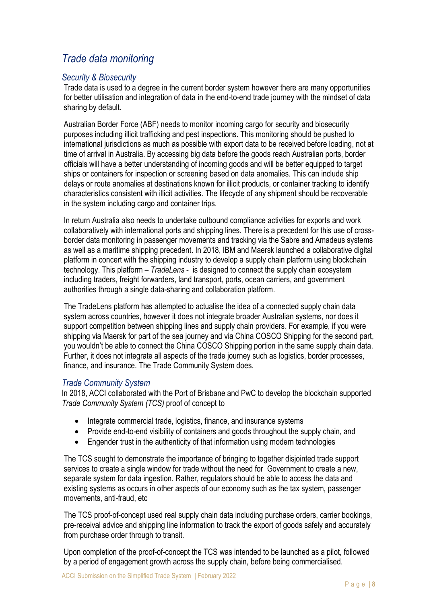# *Trade data monitoring*

#### *Security & Biosecurity*

Trade data is used to a degree in the current border system however there are many opportunities for better utilisation and integration of data in the end-to-end trade journey with the mindset of data sharing by default.

Australian Border Force (ABF) needs to monitor incoming cargo for security and biosecurity purposes including illicit trafficking and pest inspections. This monitoring should be pushed to international jurisdictions as much as possible with export data to be received before loading, not at time of arrival in Australia. By accessing big data before the goods reach Australian ports, border officials will have a better understanding of incoming goods and will be better equipped to target ships or containers for inspection or screening based on data anomalies. This can include ship delays or route anomalies at destinations known for illicit products, or container tracking to identify characteristics consistent with illicit activities. The lifecycle of any shipment should be recoverable in the system including cargo and container trips.

In return Australia also needs to undertake outbound compliance activities for exports and work collaboratively with international ports and shipping lines. There is a precedent for this use of crossborder data monitoring in passenger movements and tracking via the Sabre and Amadeus systems as well as a maritime shipping precedent. In 2018, IBM and Maersk launched a collaborative digital platform in concert with the shipping industry to develop a supply chain platform using blockchain technology. This platform – *TradeLens* - is designed to connect the supply chain ecosystem including traders, freight forwarders, land transport, ports, ocean carriers, and government authorities through a single data-sharing and collaboration platform.

The TradeLens platform has attempted to actualise the idea of a connected supply chain data system across countries, however it does not integrate broader Australian systems, nor does it support competition between shipping lines and supply chain providers. For example, if you were shipping via Maersk for part of the sea journey and via China COSCO Shipping for the second part, you wouldn't be able to connect the China COSCO Shipping portion in the same supply chain data. Further, it does not integrate all aspects of the trade journey such as logistics, border processes, finance, and insurance. The Trade Community System does.

#### *Trade Community System*

In 2018, ACCI collaborated with the Port of Brisbane and PwC to develop the blockchain supported *Trade Community System (TCS)* proof of concept to

- Integrate commercial trade, logistics, finance, and insurance systems
- Provide end-to-end visibility of containers and goods throughout the supply chain, and
- Engender trust in the authenticity of that information using modern technologies

The TCS sought to demonstrate the importance of bringing to together disjointed trade support services to create a single window for trade without the need for Government to create a new, separate system for data ingestion. Rather, regulators should be able to access the data and existing systems as occurs in other aspects of our economy such as the tax system, passenger movements, anti-fraud, etc

The TCS proof-of-concept used real supply chain data including purchase orders, carrier bookings, pre-receival advice and shipping line information to track the export of goods safely and accurately from purchase order through to transit.

Upon completion of the proof-of-concept the TCS was intended to be launched as a pilot, followed by a period of engagement growth across the supply chain, before being commercialised.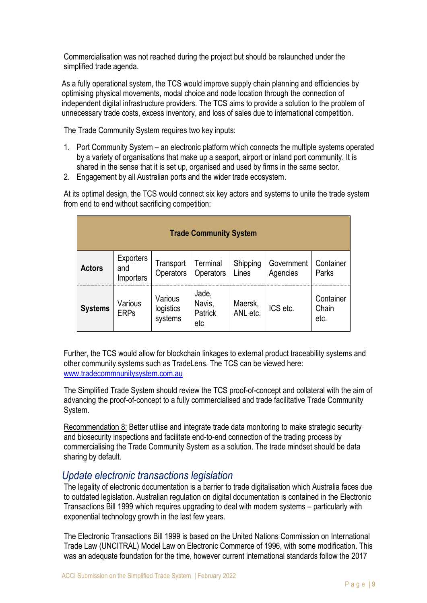Commercialisation was not reached during the project but should be relaunched under the simplified trade agenda.

As a fully operational system, the TCS would improve supply chain planning and efficiencies by optimising physical movements, modal choice and node location through the connection of independent digital infrastructure providers. The TCS aims to provide a solution to the problem of unnecessary trade costs, excess inventory, and loss of sales due to international competition.

The Trade Community System requires two key inputs:

- 1. Port Community System an electronic platform which connects the multiple systems operated by a variety of organisations that make up a seaport, airport or inland port community. It is shared in the sense that it is set up, organised and used by firms in the same sector.
- 2. Engagement by all Australian ports and the wider trade ecosystem.

At its optimal design, the TCS would connect six key actors and systems to unite the trade system from end to end without sacrificing competition:

| <b>Trade Community System</b> |                                      |                                 |                                   |                     |                        |                            |
|-------------------------------|--------------------------------------|---------------------------------|-----------------------------------|---------------------|------------------------|----------------------------|
| <b>Actors</b>                 | <b>Exporters</b><br>and<br>Importers | Transport<br>Operators          | Terminal<br>Operators             | Shipping<br>Lines   | Government<br>Agencies | Container<br>Parks         |
| <b>Systems</b>                | Various<br><b>ERPs</b>               | Various<br>logistics<br>systems | Jade,<br>Navis,<br>Patrick<br>etc | Maersk,<br>ANL etc. | ICS etc.               | Container<br>Chain<br>etc. |

Further, the TCS would allow for blockchain linkages to external product traceability systems and other community systems such as TradeLens. The TCS can be viewed here: [www.tradecommnunitysystem.com.au](http://www.tradecommnunitysystem.com.au/)

The Simplified Trade System should review the TCS proof-of-concept and collateral with the aim of advancing the proof-of-concept to a fully commercialised and trade facilitative Trade Community System.

Recommendation 8: Better utilise and integrate trade data monitoring to make strategic security and biosecurity inspections and facilitate end-to-end connection of the trading process by commercialising the Trade Community System as a solution. The trade mindset should be data sharing by default.

# *Update electronic transactions legislation*

The legality of electronic documentation is a barrier to trade digitalisation which Australia faces due to outdated legislation. Australian regulation on digital documentation is contained in the Electronic Transactions Bill 1999 which requires upgrading to deal with modern systems – particularly with exponential technology growth in the last few years.

The Electronic Transactions Bill 1999 is based on the United Nations Commission on International Trade Law (UNCITRAL) Model Law on Electronic Commerce of 1996, with some modification. This was an adequate foundation for the time, however current international standards follow the 2017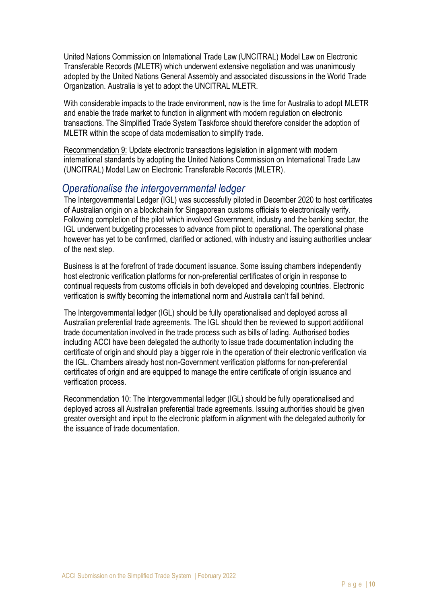United Nations Commission on International Trade Law (UNCITRAL) Model Law on Electronic Transferable Records (MLETR) which underwent extensive negotiation and was unanimously adopted by the United Nations General Assembly and associated discussions in the World Trade Organization. Australia is yet to adopt the UNCITRAL MLETR.

With considerable impacts to the trade environment, now is the time for Australia to adopt MLETR and enable the trade market to function in alignment with modern regulation on electronic transactions. The Simplified Trade System Taskforce should therefore consider the adoption of MLETR within the scope of data modernisation to simplify trade.

Recommendation 9: Update electronic transactions legislation in alignment with modern international standards by adopting the United Nations Commission on International Trade Law (UNCITRAL) Model Law on Electronic Transferable Records (MLETR).

### *Operationalise the intergovernmental ledger*

The Intergovernmental Ledger (IGL) was successfully piloted in December 2020 to host certificates of Australian origin on a blockchain for Singaporean customs officials to electronically verify. Following completion of the pilot which involved Government, industry and the banking sector, the IGL underwent budgeting processes to advance from pilot to operational. The operational phase however has yet to be confirmed, clarified or actioned, with industry and issuing authorities unclear of the next step.

Business is at the forefront of trade document issuance. Some issuing chambers independently host electronic verification platforms for non-preferential certificates of origin in response to continual requests from customs officials in both developed and developing countries. Electronic verification is swiftly becoming the international norm and Australia can't fall behind.

The Intergovernmental ledger (IGL) should be fully operationalised and deployed across all Australian preferential trade agreements. The IGL should then be reviewed to support additional trade documentation involved in the trade process such as bills of lading. Authorised bodies including ACCI have been delegated the authority to issue trade documentation including the certificate of origin and should play a bigger role in the operation of their electronic verification via the IGL. Chambers already host non-Government verification platforms for non-preferential certificates of origin and are equipped to manage the entire certificate of origin issuance and verification process.

Recommendation 10: The Intergovernmental ledger (IGL) should be fully operationalised and deployed across all Australian preferential trade agreements. Issuing authorities should be given greater oversight and input to the electronic platform in alignment with the delegated authority for the issuance of trade documentation.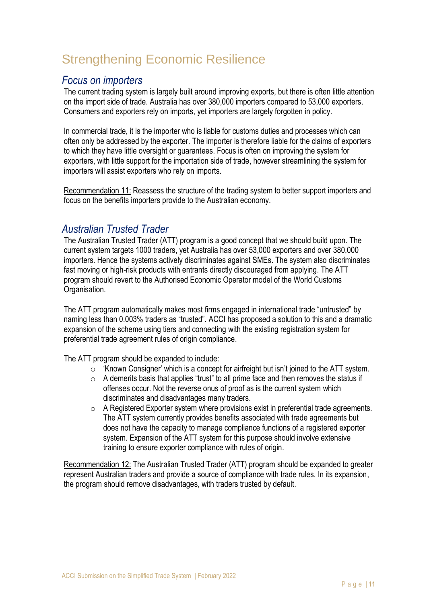# Strengthening Economic Resilience

# *Focus on importers*

The current trading system is largely built around improving exports, but there is often little attention on the import side of trade. Australia has over 380,000 importers compared to 53,000 exporters. Consumers and exporters rely on imports, yet importers are largely forgotten in policy.

In commercial trade, it is the importer who is liable for customs duties and processes which can often only be addressed by the exporter. The importer is therefore liable for the claims of exporters to which they have little oversight or guarantees. Focus is often on improving the system for exporters, with little support for the importation side of trade, however streamlining the system for importers will assist exporters who rely on imports.

Recommendation 11: Reassess the structure of the trading system to better support importers and focus on the benefits importers provide to the Australian economy.

# *Australian Trusted Trader*

The Australian Trusted Trader (ATT) program is a good concept that we should build upon. The current system targets 1000 traders, yet Australia has over 53,000 exporters and over 380,000 importers. Hence the systems actively discriminates against SMEs. The system also discriminates fast moving or high-risk products with entrants directly discouraged from applying. The ATT program should revert to the Authorised Economic Operator model of the World Customs Organisation.

The ATT program automatically makes most firms engaged in international trade "untrusted" by naming less than 0.003% traders as "trusted". ACCI has proposed a solution to this and a dramatic expansion of the scheme using tiers and connecting with the existing registration system for preferential trade agreement rules of origin compliance.

The ATT program should be expanded to include:

- o 'Known Consigner' which is a concept for airfreight but isn't joined to the ATT system.
- $\circ$  A demerits basis that applies "trust" to all prime face and then removes the status if offenses occur. Not the reverse onus of proof as is the current system which discriminates and disadvantages many traders.
- o A Registered Exporter system where provisions exist in preferential trade agreements. The ATT system currently provides benefits associated with trade agreements but does not have the capacity to manage compliance functions of a registered exporter system. Expansion of the ATT system for this purpose should involve extensive training to ensure exporter compliance with rules of origin.

Recommendation 12: The Australian Trusted Trader (ATT) program should be expanded to greater represent Australian traders and provide a source of compliance with trade rules. In its expansion, the program should remove disadvantages, with traders trusted by default.